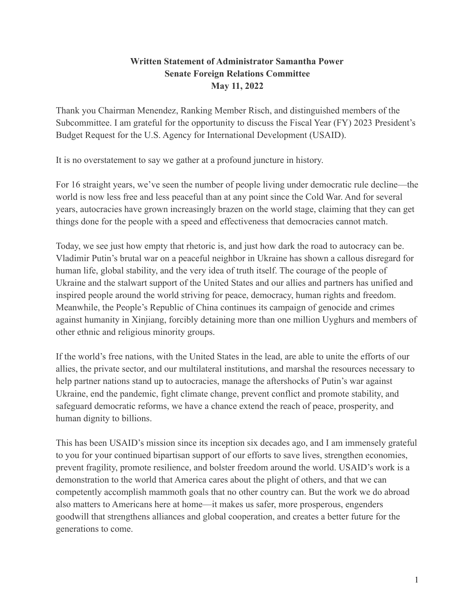# **Written Statement of Administrator Samantha Power Senate Foreign Relations Committee May 11, 2022**

Thank you Chairman Menendez, Ranking Member Risch, and distinguished members of the Subcommittee. I am grateful for the opportunity to discuss the Fiscal Year (FY) 2023 President's Budget Request for the U.S. Agency for International Development (USAID).

It is no overstatement to say we gather at a profound juncture in history.

For 16 straight years, we've seen the number of people living under democratic rule decline—the world is now less free and less peaceful than at any point since the Cold War. And for several years, autocracies have grown increasingly brazen on the world stage, claiming that they can get things done for the people with a speed and effectiveness that democracies cannot match.

Today, we see just how empty that rhetoric is, and just how dark the road to autocracy can be. Vladimir Putin's brutal war on a peaceful neighbor in Ukraine has shown a callous disregard for human life, global stability, and the very idea of truth itself. The courage of the people of Ukraine and the stalwart support of the United States and our allies and partners has unified and inspired people around the world striving for peace, democracy, human rights and freedom. Meanwhile, the People's Republic of China continues its campaign of genocide and crimes against humanity in Xinjiang, forcibly detaining more than one million Uyghurs and members of other ethnic and religious minority groups.

If the world's free nations, with the United States in the lead, are able to unite the efforts of our allies, the private sector, and our multilateral institutions, and marshal the resources necessary to help partner nations stand up to autocracies, manage the aftershocks of Putin's war against Ukraine, end the pandemic, fight climate change, prevent conflict and promote stability, and safeguard democratic reforms, we have a chance extend the reach of peace, prosperity, and human dignity to billions.

This has been USAID's mission since its inception six decades ago, and I am immensely grateful to you for your continued bipartisan support of our efforts to save lives, strengthen economies, prevent fragility, promote resilience, and bolster freedom around the world. USAID's work is a demonstration to the world that America cares about the plight of others, and that we can competently accomplish mammoth goals that no other country can. But the work we do abroad also matters to Americans here at home—it makes us safer, more prosperous, engenders goodwill that strengthens alliances and global cooperation, and creates a better future for the generations to come.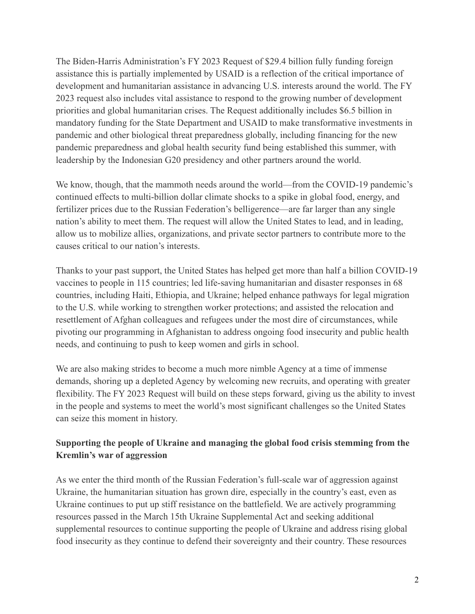The Biden-Harris Administration's FY 2023 Request of \$29.4 billion fully funding foreign assistance this is partially implemented by USAID is a reflection of the critical importance of development and humanitarian assistance in advancing U.S. interests around the world. The FY 2023 request also includes vital assistance to respond to the growing number of development priorities and global humanitarian crises. The Request additionally includes \$6.5 billion in mandatory funding for the State Department and USAID to make transformative investments in pandemic and other biological threat preparedness globally, including financing for the new pandemic preparedness and global health security fund being established this summer, with leadership by the Indonesian G20 presidency and other partners around the world.

We know, though, that the mammoth needs around the world—from the COVID-19 pandemic's continued effects to multi-billion dollar climate shocks to a spike in global food, energy, and fertilizer prices due to the Russian Federation's belligerence—are far larger than any single nation's ability to meet them. The request will allow the United States to lead, and in leading, allow us to mobilize allies, organizations, and private sector partners to contribute more to the causes critical to our nation's interests.

Thanks to your past support, the United States has helped get more than half a billion COVID-19 vaccines to people in 115 countries; led life-saving humanitarian and disaster responses in 68 countries, including Haiti, Ethiopia, and Ukraine; helped enhance pathways for legal migration to the U.S. while working to strengthen worker protections; and assisted the relocation and resettlement of Afghan colleagues and refugees under the most dire of circumstances, while pivoting our programming in Afghanistan to address ongoing food insecurity and public health needs, and continuing to push to keep women and girls in school.

We are also making strides to become a much more nimble Agency at a time of immense demands, shoring up a depleted Agency by welcoming new recruits, and operating with greater flexibility. The FY 2023 Request will build on these steps forward, giving us the ability to invest in the people and systems to meet the world's most significant challenges so the United States can seize this moment in history.

# **Supporting the people of Ukraine and managing the global food crisis stemming from the Kremlin's war of aggression**

As we enter the third month of the Russian Federation's full-scale war of aggression against Ukraine, the humanitarian situation has grown dire, especially in the country's east, even as Ukraine continues to put up stiff resistance on the battlefield. We are actively programming resources passed in the March 15th Ukraine Supplemental Act and seeking additional supplemental resources to continue supporting the people of Ukraine and address rising global food insecurity as they continue to defend their sovereignty and their country. These resources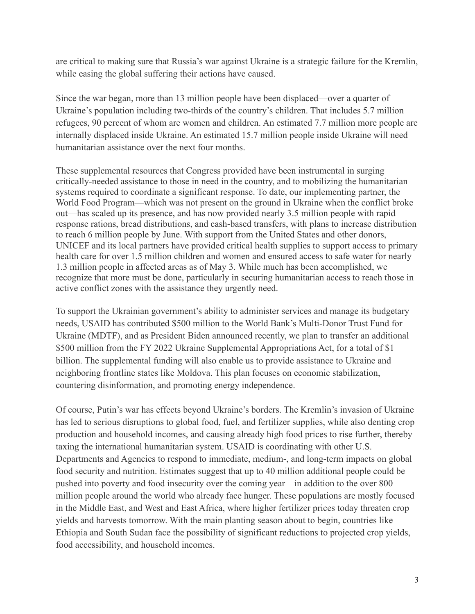are critical to making sure that Russia's war against Ukraine is a strategic failure for the Kremlin, while easing the global suffering their actions have caused.

Since the war began, more than 13 million people have been displaced—over a quarter of Ukraine's population including two-thirds of the country's children. That includes 5.7 million refugees, 90 percent of whom are women and children. An estimated 7.7 million more people are internally displaced inside Ukraine. An estimated 15.7 million people inside Ukraine will need humanitarian assistance over the next four months.

These supplemental resources that Congress provided have been instrumental in surging critically-needed assistance to those in need in the country, and to mobilizing the humanitarian systems required to coordinate a significant response. To date, our implementing partner, the World Food Program—which was not present on the ground in Ukraine when the conflict broke out—has scaled up its presence, and has now provided nearly 3.5 million people with rapid response rations, bread distributions, and cash-based transfers, with plans to increase distribution to reach 6 million people by June. With support from the United States and other donors, UNICEF and its local partners have provided critical health supplies to support access to primary health care for over 1.5 million children and women and ensured access to safe water for nearly 1.3 million people in affected areas as of May 3. While much has been accomplished, we recognize that more must be done, particularly in securing humanitarian access to reach those in active conflict zones with the assistance they urgently need.

To support the Ukrainian government's ability to administer services and manage its budgetary needs, USAID has contributed \$500 million to the World Bank's Multi-Donor Trust Fund for Ukraine (MDTF), and as President Biden announced recently, we plan to transfer an additional \$500 million from the FY 2022 Ukraine Supplemental Appropriations Act, for a total of \$1 billion. The supplemental funding will also enable us to provide assistance to Ukraine and neighboring frontline states like Moldova. This plan focuses on economic stabilization, countering disinformation, and promoting energy independence.

Of course, Putin's war has effects beyond Ukraine's borders. The Kremlin's invasion of Ukraine has led to serious disruptions to global food, fuel, and fertilizer supplies, while also denting crop production and household incomes, and causing already high food prices to rise further, thereby taxing the international humanitarian system. USAID is coordinating with other U.S. Departments and Agencies to respond to immediate, medium-, and long-term impacts on global food security and nutrition. Estimates suggest that up to 40 million additional people could be pushed into poverty and food insecurity over the coming year—in addition to the over 800 million people around the world who already face hunger. These populations are mostly focused in the Middle East, and West and East Africa, where higher fertilizer prices today threaten crop yields and harvests tomorrow. With the main planting season about to begin, countries like Ethiopia and South Sudan face the possibility of significant reductions to projected crop yields, food accessibility, and household incomes.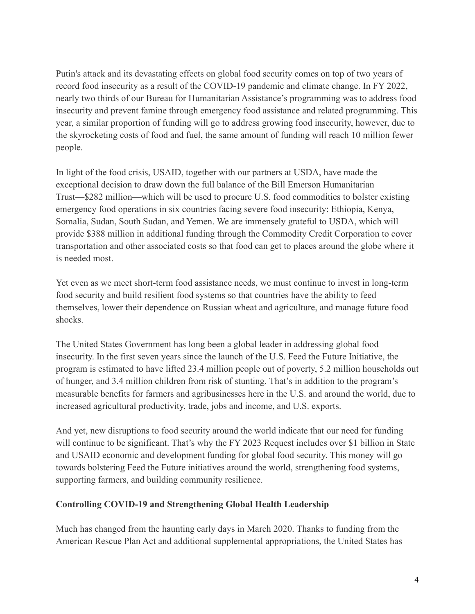Putin's attack and its devastating effects on global food security comes on top of two years of record food insecurity as a result of the COVID-19 pandemic and climate change. In FY 2022, nearly two thirds of our Bureau for Humanitarian Assistance's programming was to address food insecurity and prevent famine through emergency food assistance and related programming. This year, a similar proportion of funding will go to address growing food insecurity, however, due to the skyrocketing costs of food and fuel, the same amount of funding will reach 10 million fewer people.

In light of the food crisis, USAID, together with our partners at USDA, have made the exceptional decision to draw down the full balance of the Bill Emerson Humanitarian Trust—\$282 million—which will be used to procure U.S. food commodities to bolster existing emergency food operations in six countries facing severe food insecurity: Ethiopia, Kenya, Somalia, Sudan, South Sudan, and Yemen. We are immensely grateful to USDA, which will provide \$388 million in additional funding through the Commodity Credit Corporation to cover transportation and other associated costs so that food can get to places around the globe where it is needed most.

Yet even as we meet short-term food assistance needs, we must continue to invest in long-term food security and build resilient food systems so that countries have the ability to feed themselves, lower their dependence on Russian wheat and agriculture, and manage future food shocks.

The United States Government has long been a global leader in addressing global food insecurity. In the first seven years since the launch of the U.S. Feed the Future Initiative, the program is estimated to have lifted 23.4 million people out of poverty, 5.2 million households out of hunger, and 3.4 million children from risk of stunting. That's in addition to the program's measurable benefits for farmers and agribusinesses here in the U.S. and around the world, due to increased agricultural productivity, trade, jobs and income, and U.S. exports.

And yet, new disruptions to food security around the world indicate that our need for funding will continue to be significant. That's why the FY 2023 Request includes over \$1 billion in State and USAID economic and development funding for global food security. This money will go towards bolstering Feed the Future initiatives around the world, strengthening food systems, supporting farmers, and building community resilience.

### **Controlling COVID-19 and Strengthening Global Health Leadership**

Much has changed from the haunting early days in March 2020. Thanks to funding from the American Rescue Plan Act and additional supplemental appropriations, the United States has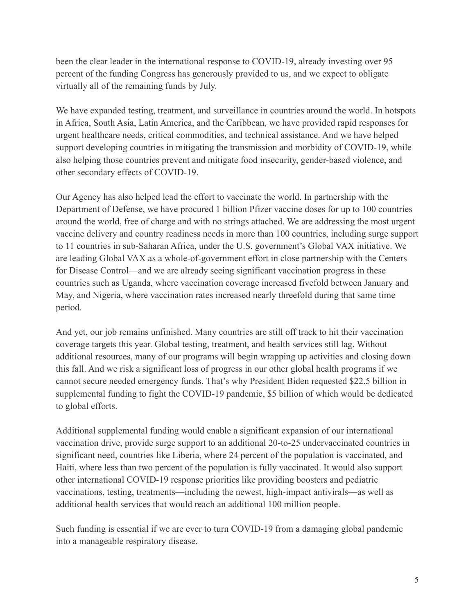been the clear leader in the international response to COVID-19, already investing over 95 percent of the funding Congress has generously provided to us, and we expect to obligate virtually all of the remaining funds by July.

We have expanded testing, treatment, and surveillance in countries around the world. In hotspots in Africa, South Asia, Latin America, and the Caribbean, we have provided rapid responses for urgent healthcare needs, critical commodities, and technical assistance. And we have helped support developing countries in mitigating the transmission and morbidity of COVID-19, while also helping those countries prevent and mitigate food insecurity, gender-based violence, and other secondary effects of COVID-19.

Our Agency has also helped lead the effort to vaccinate the world. In partnership with the Department of Defense, we have procured 1 billion Pfizer vaccine doses for up to 100 countries around the world, free of charge and with no strings attached. We are addressing the most urgent vaccine delivery and country readiness needs in more than 100 countries, including surge support to 11 countries in sub-Saharan Africa, under the U.S. government's Global VAX initiative. We are leading Global VAX as a whole-of-government effort in close partnership with the Centers for Disease Control—and we are already seeing significant vaccination progress in these countries such as Uganda, where vaccination coverage increased fivefold between January and May, and Nigeria, where vaccination rates increased nearly threefold during that same time period.

And yet, our job remains unfinished. Many countries are still off track to hit their vaccination coverage targets this year. Global testing, treatment, and health services still lag. Without additional resources, many of our programs will begin wrapping up activities and closing down this fall. And we risk a significant loss of progress in our other global health programs if we cannot secure needed emergency funds. That's why President Biden requested \$22.5 billion in supplemental funding to fight the COVID-19 pandemic, \$5 billion of which would be dedicated to global efforts.

Additional supplemental funding would enable a significant expansion of our international vaccination drive, provide surge support to an additional 20-to-25 undervaccinated countries in significant need, countries like Liberia, where 24 percent of the population is vaccinated, and Haiti, where less than two percent of the population is fully vaccinated. It would also support other international COVID-19 response priorities like providing boosters and pediatric vaccinations, testing, treatments—including the newest, high-impact antivirals—as well as additional health services that would reach an additional 100 million people.

Such funding is essential if we are ever to turn COVID-19 from a damaging global pandemic into a manageable respiratory disease.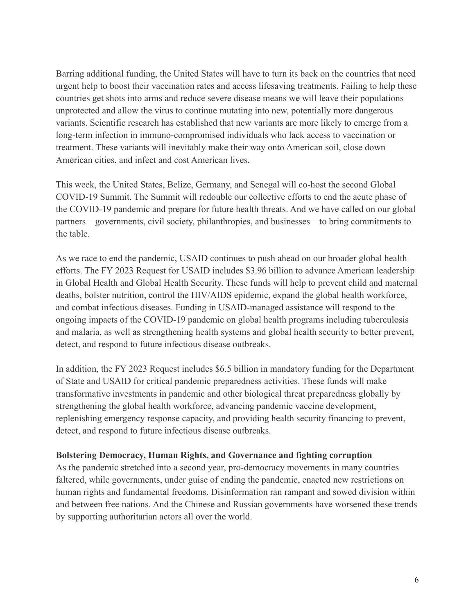Barring additional funding, the United States will have to turn its back on the countries that need urgent help to boost their vaccination rates and access lifesaving treatments. Failing to help these countries get shots into arms and reduce severe disease means we will leave their populations unprotected and allow the virus to continue mutating into new, potentially more dangerous variants. Scientific research has established that new variants are more likely to emerge from a long-term infection in immuno-compromised individuals who lack access to vaccination or treatment. These variants will inevitably make their way onto American soil, close down American cities, and infect and cost American lives.

This week, the United States, Belize, Germany, and Senegal will co-host the second Global COVID-19 Summit. The Summit will redouble our collective efforts to end the acute phase of the COVID-19 pandemic and prepare for future health threats. And we have called on our global partners—governments, civil society, philanthropies, and businesses—to bring commitments to the table.

As we race to end the pandemic, USAID continues to push ahead on our broader global health efforts. The FY 2023 Request for USAID includes \$3.96 billion to advance American leadership in Global Health and Global Health Security. These funds will help to prevent child and maternal deaths, bolster nutrition, control the HIV/AIDS epidemic, expand the global health workforce, and combat infectious diseases. Funding in USAID-managed assistance will respond to the ongoing impacts of the COVID-19 pandemic on global health programs including tuberculosis and malaria, as well as strengthening health systems and global health security to better prevent, detect, and respond to future infectious disease outbreaks.

In addition, the FY 2023 Request includes \$6.5 billion in mandatory funding for the Department of State and USAID for critical pandemic preparedness activities. These funds will make transformative investments in pandemic and other biological threat preparedness globally by strengthening the global health workforce, advancing pandemic vaccine development, replenishing emergency response capacity, and providing health security financing to prevent, detect, and respond to future infectious disease outbreaks.

#### **Bolstering Democracy, Human Rights, and Governance and fighting corruption**

As the pandemic stretched into a second year, pro-democracy movements in many countries faltered, while governments, under guise of ending the pandemic, enacted new restrictions on human rights and fundamental freedoms. Disinformation ran rampant and sowed division within and between free nations. And the Chinese and Russian governments have worsened these trends by supporting authoritarian actors all over the world.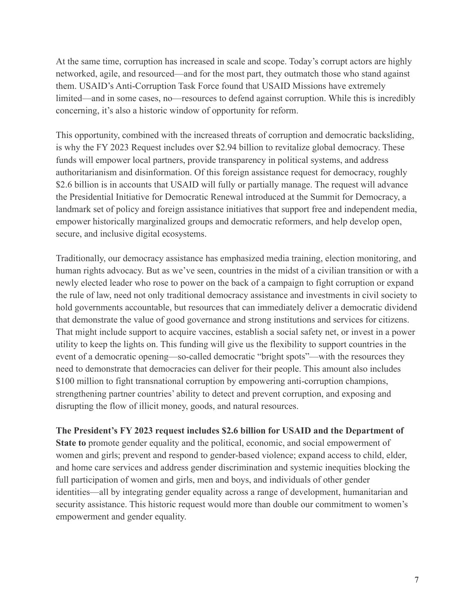At the same time, corruption has increased in scale and scope. Today's corrupt actors are highly networked, agile, and resourced—and for the most part, they outmatch those who stand against them. USAID's Anti-Corruption Task Force found that USAID Missions have extremely limited—and in some cases, no—resources to defend against corruption. While this is incredibly concerning, it's also a historic window of opportunity for reform.

This opportunity, combined with the increased threats of corruption and democratic backsliding, is why the FY 2023 Request includes over \$2.94 billion to revitalize global democracy. These funds will empower local partners, provide transparency in political systems, and address authoritarianism and disinformation. Of this foreign assistance request for democracy, roughly \$2.6 billion is in accounts that USAID will fully or partially manage. The request will advance the Presidential Initiative for Democratic Renewal introduced at the Summit for Democracy, a landmark set of policy and foreign assistance initiatives that support free and independent media, empower historically marginalized groups and democratic reformers, and help develop open, secure, and inclusive digital ecosystems.

Traditionally, our democracy assistance has emphasized media training, election monitoring, and human rights advocacy. But as we've seen, countries in the midst of a civilian transition or with a newly elected leader who rose to power on the back of a campaign to fight corruption or expand the rule of law, need not only traditional democracy assistance and investments in civil society to hold governments accountable, but resources that can immediately deliver a democratic dividend that demonstrate the value of good governance and strong institutions and services for citizens. That might include support to acquire vaccines, establish a social safety net, or invest in a power utility to keep the lights on. This funding will give us the flexibility to support countries in the event of a democratic opening—so-called democratic "bright spots"—with the resources they need to demonstrate that democracies can deliver for their people. This amount also includes \$100 million to fight transnational corruption by empowering anti-corruption champions, strengthening partner countries' ability to detect and prevent corruption, and exposing and disrupting the flow of illicit money, goods, and natural resources.

**The President's FY 2023 request includes \$2.6 billion for USAID and the Department of State to** promote gender equality and the political, economic, and social empowerment of women and girls; prevent and respond to gender-based violence; expand access to child, elder, and home care services and address gender discrimination and systemic inequities blocking the full participation of women and girls, men and boys, and individuals of other gender identities—all by integrating gender equality across a range of development, humanitarian and security assistance. This historic request would more than double our commitment to women's empowerment and gender equality.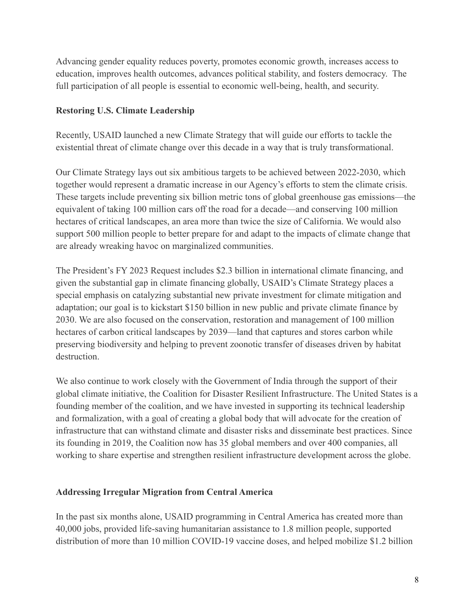Advancing gender equality reduces poverty, promotes economic growth, increases access to education, improves health outcomes, advances political stability, and fosters democracy. The full participation of all people is essential to economic well-being, health, and security.

### **Restoring U.S. Climate Leadership**

Recently, USAID launched a new Climate Strategy that will guide our efforts to tackle the existential threat of climate change over this decade in a way that is truly transformational.

Our Climate Strategy lays out six ambitious targets to be achieved between 2022-2030, which together would represent a dramatic increase in our Agency's efforts to stem the climate crisis. These targets include preventing six billion metric tons of global greenhouse gas emissions—the equivalent of taking 100 million cars off the road for a decade—and conserving 100 million hectares of critical landscapes, an area more than twice the size of California. We would also support 500 million people to better prepare for and adapt to the impacts of climate change that are already wreaking havoc on marginalized communities.

The President's FY 2023 Request includes \$2.3 billion in international climate financing, and given the substantial gap in climate financing globally, USAID's Climate Strategy places a special emphasis on catalyzing substantial new private investment for climate mitigation and adaptation; our goal is to kickstart \$150 billion in new public and private climate finance by 2030. We are also focused on the conservation, restoration and management of 100 million hectares of carbon critical landscapes by 2039—land that captures and stores carbon while preserving biodiversity and helping to prevent zoonotic transfer of diseases driven by habitat destruction.

We also continue to work closely with the Government of India through the support of their global climate initiative, the Coalition for Disaster Resilient Infrastructure. The United States is a founding member of the coalition, and we have invested in supporting its technical leadership and formalization, with a goal of creating a global body that will advocate for the creation of infrastructure that can withstand climate and disaster risks and disseminate best practices. Since its founding in 2019, the Coalition now has 35 global members and over 400 companies, all working to share expertise and strengthen resilient infrastructure development across the globe.

### **Addressing Irregular Migration from Central America**

In the past six months alone, USAID programming in Central America has created more than 40,000 jobs, provided life-saving humanitarian assistance to 1.8 million people, supported distribution of more than 10 million COVID-19 vaccine doses, and helped mobilize \$1.2 billion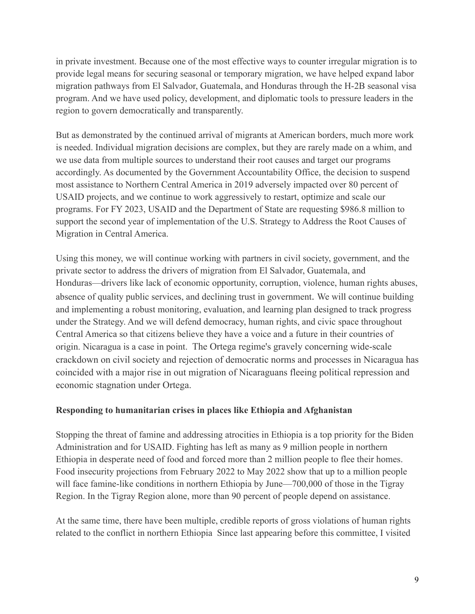in private investment. Because one of the most effective ways to counter irregular migration is to provide legal means for securing seasonal or temporary migration, we have helped expand labor migration pathways from El Salvador, Guatemala, and Honduras through the H-2B seasonal visa program. And we have used policy, development, and diplomatic tools to pressure leaders in the region to govern democratically and transparently.

But as demonstrated by the continued arrival of migrants at American borders, much more work is needed. Individual migration decisions are complex, but they are rarely made on a whim, and we use data from multiple sources to understand their root causes and target our programs accordingly. As documented by the Government Accountability Office, the decision to suspend most assistance to Northern Central America in 2019 adversely impacted over 80 percent of USAID projects, and we continue to work aggressively to restart, optimize and scale our programs. For FY 2023, USAID and the Department of State are requesting \$986.8 million to support the second year of implementation of the U.S. Strategy to Address the Root Causes of Migration in Central America.

Using this money, we will continue working with partners in civil society, government, and the private sector to address the drivers of migration from El Salvador, Guatemala, and Honduras—drivers like lack of economic opportunity, corruption, violence, human rights abuses, absence of quality public services, and declining trust in government. We will continue building and implementing a robust monitoring, evaluation, and learning plan designed to track progress under the Strategy. And we will defend democracy, human rights, and civic space throughout Central America so that citizens believe they have a voice and a future in their countries of origin. Nicaragua is a case in point. The Ortega regime's gravely concerning wide-scale crackdown on civil society and rejection of democratic norms and processes in Nicaragua has coincided with a major rise in out migration of Nicaraguans fleeing political repression and economic stagnation under Ortega.

# **Responding to humanitarian crises in places like Ethiopia and Afghanistan**

Stopping the threat of famine and addressing atrocities in Ethiopia is a top priority for the Biden Administration and for USAID. Fighting has left as many as 9 million people in northern Ethiopia in desperate need of food and forced more than 2 million people to flee their homes. Food insecurity projections from February 2022 to May 2022 show that up to a million people will face famine-like conditions in northern Ethiopia by June—700,000 of those in the Tigray Region. In the Tigray Region alone, more than 90 percent of people depend on assistance.

At the same time, there have been multiple, credible reports of gross violations of human rights related to the conflict in northern Ethiopia Since last appearing before this committee, I visited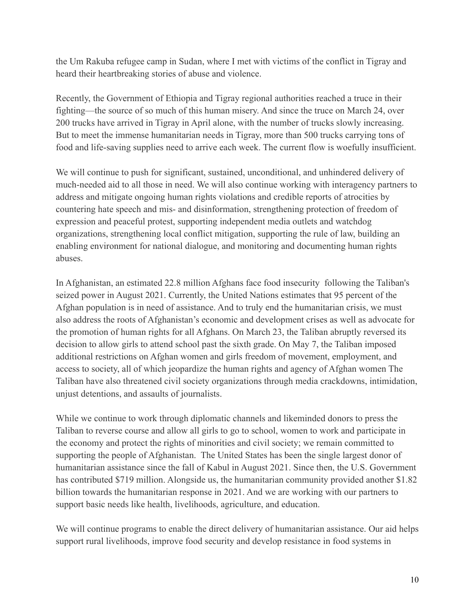the Um Rakuba refugee camp in Sudan, where I met with victims of the conflict in Tigray and heard their heartbreaking stories of abuse and violence.

Recently, the Government of Ethiopia and Tigray regional authorities reached a truce in their fighting—the source of so much of this human misery. And since the truce on March 24, over 200 trucks have arrived in Tigray in April alone, with the number of trucks slowly increasing. But to meet the immense humanitarian needs in Tigray, more than 500 trucks carrying tons of food and life-saving supplies need to arrive each week. The current flow is woefully insufficient.

We will continue to push for significant, sustained, unconditional, and unhindered delivery of much-needed aid to all those in need. We will also continue working with interagency partners to address and mitigate ongoing human rights violations and credible reports of atrocities by countering hate speech and mis- and disinformation, strengthening protection of freedom of expression and peaceful protest, supporting independent media outlets and watchdog organizations, strengthening local conflict mitigation, supporting the rule of law, building an enabling environment for national dialogue, and monitoring and documenting human rights abuses.

In Afghanistan, an estimated 22.8 million Afghans face food insecurity following the Taliban's seized power in August 2021. Currently, the United Nations estimates that 95 percent of the Afghan population is in need of assistance. And to truly end the humanitarian crisis, we must also address the roots of Afghanistan's economic and development crises as well as advocate for the promotion of human rights for all Afghans. On March 23, the Taliban abruptly reversed its decision to allow girls to attend school past the sixth grade. On May 7, the Taliban imposed additional restrictions on Afghan women and girls freedom of movement, employment, and access to society, all of which jeopardize the human rights and agency of Afghan women The Taliban have also threatened civil society organizations through media crackdowns, intimidation, unjust detentions, and assaults of journalists.

While we continue to work through diplomatic channels and likeminded donors to press the Taliban to reverse course and allow all girls to go to school, women to work and participate in the economy and protect the rights of minorities and civil society; we remain committed to supporting the people of Afghanistan. The United States has been the single largest donor of humanitarian assistance since the fall of Kabul in August 2021. Since then, the U.S. Government has contributed \$719 million. Alongside us, the humanitarian community provided another \$1.82 billion towards the humanitarian response in 2021. And we are working with our partners to support basic needs like health, livelihoods, agriculture, and education.

We will continue programs to enable the direct delivery of humanitarian assistance. Our aid helps support rural livelihoods, improve food security and develop resistance in food systems in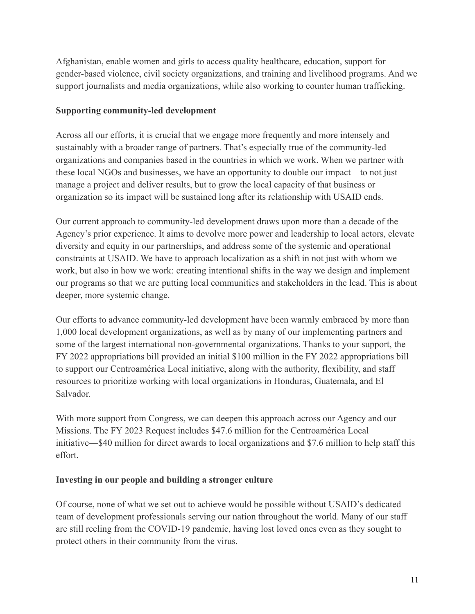Afghanistan, enable women and girls to access quality healthcare, education, support for gender-based violence, civil society organizations, and training and livelihood programs. And we support journalists and media organizations, while also working to counter human trafficking.

### **Supporting community-led development**

Across all our efforts, it is crucial that we engage more frequently and more intensely and sustainably with a broader range of partners. That's especially true of the community-led organizations and companies based in the countries in which we work. When we partner with these local NGOs and businesses, we have an opportunity to double our impact—to not just manage a project and deliver results, but to grow the local capacity of that business or organization so its impact will be sustained long after its relationship with USAID ends.

Our current approach to community-led development draws upon more than a decade of the Agency's prior experience. It aims to devolve more power and leadership to local actors, elevate diversity and equity in our partnerships, and address some of the systemic and operational constraints at USAID. We have to approach localization as a shift in not just with whom we work, but also in how we work: creating intentional shifts in the way we design and implement our programs so that we are putting local communities and stakeholders in the lead. This is about deeper, more systemic change.

Our efforts to advance community-led development have been warmly embraced by more than 1,000 local development organizations, as well as by many of our implementing partners and some of the largest international non-governmental organizations. Thanks to your support, the FY 2022 appropriations bill provided an initial \$100 million in the FY 2022 appropriations bill to support our Centroamérica Local initiative, along with the authority, flexibility, and staff resources to prioritize working with local organizations in Honduras, Guatemala, and El Salvador.

With more support from Congress, we can deepen this approach across our Agency and our Missions. The FY 2023 Request includes \$47.6 million for the Centroamérica Local initiative—\$40 million for direct awards to local organizations and \$7.6 million to help staff this effort.

# **Investing in our people and building a stronger culture**

Of course, none of what we set out to achieve would be possible without USAID's dedicated team of development professionals serving our nation throughout the world. Many of our staff are still reeling from the COVID-19 pandemic, having lost loved ones even as they sought to protect others in their community from the virus.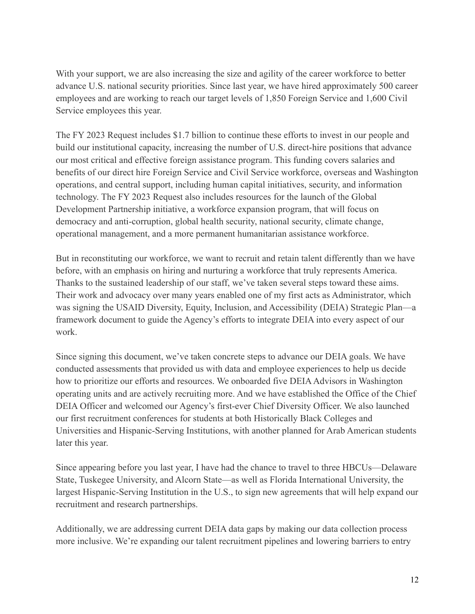With your support, we are also increasing the size and agility of the career workforce to better advance U.S. national security priorities. Since last year, we have hired approximately 500 career employees and are working to reach our target levels of 1,850 Foreign Service and 1,600 Civil Service employees this year.

The FY 2023 Request includes \$1.7 billion to continue these efforts to invest in our people and build our institutional capacity, increasing the number of U.S. direct-hire positions that advance our most critical and effective foreign assistance program. This funding covers salaries and benefits of our direct hire Foreign Service and Civil Service workforce, overseas and Washington operations, and central support, including human capital initiatives, security, and information technology. The FY 2023 Request also includes resources for the launch of the Global Development Partnership initiative, a workforce expansion program, that will focus on democracy and anti-corruption, global health security, national security, climate change, operational management, and a more permanent humanitarian assistance workforce.

But in reconstituting our workforce, we want to recruit and retain talent differently than we have before, with an emphasis on hiring and nurturing a workforce that truly represents America. Thanks to the sustained leadership of our staff, we've taken several steps toward these aims. Their work and advocacy over many years enabled one of my first acts as Administrator, which was signing the USAID Diversity, Equity, Inclusion, and Accessibility (DEIA) Strategic Plan—a framework document to guide the Agency's efforts to integrate DEIA into every aspect of our work.

Since signing this document, we've taken concrete steps to advance our DEIA goals. We have conducted assessments that provided us with data and employee experiences to help us decide how to prioritize our efforts and resources. We onboarded five DEIA Advisors in Washington operating units and are actively recruiting more. And we have established the Office of the Chief DEIA Officer and welcomed our Agency's first-ever Chief Diversity Officer. We also launched our first recruitment conferences for students at both Historically Black Colleges and Universities and Hispanic-Serving Institutions, with another planned for Arab American students later this year.

Since appearing before you last year, I have had the chance to travel to three HBCUs—Delaware State, Tuskegee University, and Alcorn State—as well as Florida International University, the largest Hispanic-Serving Institution in the U.S., to sign new agreements that will help expand our recruitment and research partnerships.

Additionally, we are addressing current DEIA data gaps by making our data collection process more inclusive. We're expanding our talent recruitment pipelines and lowering barriers to entry